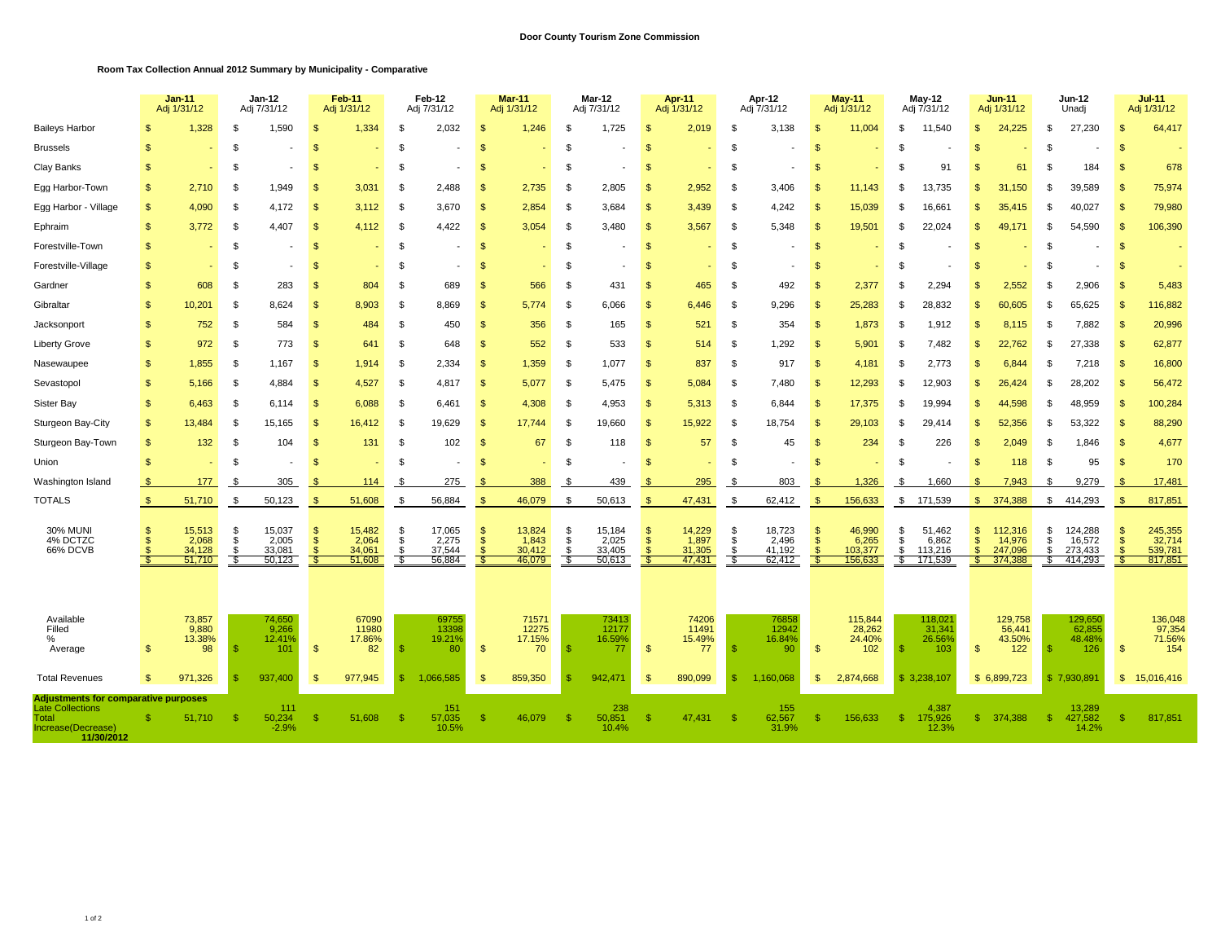## **Room Tax Collection Annual 2012 Summary by Municipality - Comparative**

|                                                                                                                     | $Jan-11$<br>Adj 1/31/12                              |             | Jan-12<br>Adj 7/31/12  |                                     | Feb-11<br>Adj 1/31/12 |                                     | Feb-12<br>Adj 7/31/12 |                                     | <b>Mar-11</b><br>Adj 1/31/12          |                                     | <b>Mar-12</b><br>Adj 7/31/12 |                                     | Apr-11<br>Adj 1/31/12 |                                     | Apr-12<br>Adj 7/31/12  |                                     | <b>May-11</b><br>Adj 1/31/12 |                                       | <b>May-12</b><br>Adj 7/31/12 |                                       | <b>Jun-11</b><br>Adj 1/31/12 |                                         | <b>Jun-12</b><br>Unadj |                                         | $Jul-11$<br>Adj 1/31/12 |                                         |
|---------------------------------------------------------------------------------------------------------------------|------------------------------------------------------|-------------|------------------------|-------------------------------------|-----------------------|-------------------------------------|-----------------------|-------------------------------------|---------------------------------------|-------------------------------------|------------------------------|-------------------------------------|-----------------------|-------------------------------------|------------------------|-------------------------------------|------------------------------|---------------------------------------|------------------------------|---------------------------------------|------------------------------|-----------------------------------------|------------------------|-----------------------------------------|-------------------------|-----------------------------------------|
| <b>Baileys Harbor</b>                                                                                               |                                                      | 1,328       | \$                     | 1,590                               | \$                    | 1,334                               | \$                    | 2,032                               | \$                                    | 1,246                               | \$                           | 1,725                               | -\$                   | 2,019                               | S                      | 3,138                               | -\$                          | 11,004                                | \$.                          | 11,540                                | \$                           | 24,225                                  | \$                     | 27,230                                  | <b>S</b>                | 64,417                                  |
| <b>Brussels</b>                                                                                                     | \$                                                   |             | \$                     |                                     | \$                    |                                     | \$                    |                                     | \$                                    |                                     | \$                           |                                     | $\mathfrak{s}$        |                                     | \$                     |                                     | -\$                          |                                       | \$                           |                                       | \$                           |                                         | \$                     |                                         | $\mathfrak{L}$          |                                         |
| Clay Banks                                                                                                          | \$                                                   |             | \$                     |                                     | \$                    |                                     | \$                    |                                     | \$                                    |                                     | \$                           |                                     | $\mathfrak{s}$        |                                     | \$                     |                                     | $\mathfrak{s}$               |                                       | <b>β</b>                     | 91                                    | \$                           | 61                                      | \$                     | 184                                     | <b>S</b>                | 678                                     |
| Egg Harbor-Town                                                                                                     | \$.                                                  | 2,710       | \$                     | 1,949                               | £.                    | 3,031                               | -S                    | 2,488                               | \$                                    | 2,735                               | \$.                          | 2,805                               | $\mathbf{s}$          | 2,952                               | \$                     | 3,406                               |                              | 11,143                                | \$.                          | 13,735                                | <b>S</b>                     | 31,150                                  | .ፍ                     | 39,589                                  | $\mathcal{S}$           | 75,974                                  |
| Egg Harbor - Village                                                                                                | $\mathcal{S}$                                        | 4,090       | \$                     | 4,172                               | - \$                  | 3,112                               | - \$                  | 3,670                               | \$                                    | 2,854                               | -S                           | 3,684                               | $\mathbf{s}$          | 3,439                               | - \$                   | 4,242                               | - \$                         | 15,039                                | R                            | 16,661                                | \$                           | 35,415                                  | - \$                   | 40,027                                  | $\mathcal{S}$           | 79,980                                  |
| Ephraim                                                                                                             | $\mathcal{F}$                                        | 3,772       | \$                     | 4,407                               | <b>S</b>              | 4,112                               | - \$                  | 4,422                               | <b>S</b>                              | 3,054                               | S                            | 3,480                               | -\$                   | 3,567                               | - \$                   | 5,348                               | -\$                          | 19,501                                | £.                           | 22,024                                | S                            | 49,171                                  | - \$                   | 54,590                                  | -\$                     | 106,390                                 |
| Forestville-Town                                                                                                    | $\mathfrak{s}$                                       |             | \$                     |                                     | <b>S</b>              |                                     | \$                    |                                     | <b>S</b>                              |                                     | S                            |                                     | - \$                  |                                     | \$                     |                                     | <b>S</b>                     |                                       | \$.                          |                                       | S                            |                                         | - \$                   |                                         | <b>S</b>                |                                         |
| Forestville-Village                                                                                                 | S                                                    |             | \$                     |                                     | S                     |                                     | \$                    |                                     | £                                     |                                     | S                            |                                     | S                     |                                     | S                      |                                     | - \$                         |                                       | -S                           |                                       | S                            |                                         | £.                     |                                         | <b>S</b>                |                                         |
| Gardner                                                                                                             | \$                                                   | 608         | \$                     | 283                                 | $\mathbf{s}$          | 804                                 | \$                    | 689                                 | \$                                    | 566                                 | \$                           | 431                                 | $\mathfrak{s}$        | 465                                 | \$                     | 492                                 | $\mathfrak{F}$               | 2,377                                 |                              | 2,294                                 | S                            | 2,552                                   | \$.                    | 2,906                                   |                         | 5,483                                   |
| Gibraltar                                                                                                           | \$<br>10,201                                         |             | \$                     | 8,624                               | <b>S</b>              | 8,903                               | \$                    | 8,869                               | \$                                    | 5,774                               | S.                           | 6,066                               | $\mathbf{s}$          | 6,446                               | \$                     | 9,296                               | -\$                          | 25,283                                | -\$                          | 28,832                                | \$                           | 60,605                                  | \$                     | 65,625                                  | \$                      | 116,882                                 |
| Jacksonport                                                                                                         | \$                                                   | 752         | \$                     | 584                                 | $\mathbf{s}$          | 484                                 | \$                    | 450                                 | $\mathfrak{S}$                        | 356                                 | - \$                         | 165                                 | $\mathbf{s}$          | 521                                 | \$                     | 354                                 | -\$                          | 1,873                                 | -\$                          | 1,912                                 | $\mathbf{s}$                 | 8,115                                   | \$                     | 7,882                                   | $\mathbf{s}$            | 20,996                                  |
| <b>Liberty Grove</b>                                                                                                | \$                                                   | 972         | \$                     | 773                                 | $\mathbf{s}$          | 641                                 | \$                    | 648                                 | $\mathfrak{s}$                        | 552                                 | $\mathbf{s}$                 | 533                                 | $\mathbf{s}$          | 514                                 | \$                     | 1,292                               | -\$                          | 5,901                                 | \$                           | 7,482                                 | $\mathfrak{s}$               | 22,762                                  | -\$                    | 27,338                                  | $\mathfrak{L}$          | 62,877                                  |
| Nasewaupee                                                                                                          | \$                                                   | 1,855       | \$                     | 1,167                               | -\$                   | 1,914                               | \$                    | 2,334                               | $\mathbf{s}$                          | 1,359                               | S.                           | 1,077                               | $\mathfrak{F}$        | 837                                 | \$                     | 917                                 | -\$                          | 4,181                                 | £.                           | 2,773                                 | \$                           | 6,844                                   | -\$                    | 7,218                                   | $\mathfrak{L}$          | 16,800                                  |
| Sevastopol                                                                                                          | \$                                                   | 5,166       | \$                     | 4,884                               | -\$                   | 4,527                               | -\$                   | 4,817                               | $\mathbf{s}$                          | 5,077                               | - \$                         | 5,475                               | -\$                   | 5,084                               | -\$                    | 7,480                               | - \$                         | 12,293                                | £.                           | 12,903                                | \$                           | 26,424                                  | - \$                   | 28,202                                  | -\$                     | 56,472                                  |
| Sister Bay                                                                                                          | \$                                                   | 6,463       | \$                     | 6,114                               | -\$                   | 6,088                               | -\$                   | 6,461                               | $\mathfrak{S}$                        | 4,308                               | - \$                         | 4,953                               | $\mathbf{\$}$         | 5,313                               | -\$                    | 6,844                               | -\$                          | 17,375                                | \$                           | 19,994                                | \$                           | 44,598                                  | -\$                    | 48,959                                  | \$                      | 100,284                                 |
| Sturgeon Bay-City                                                                                                   | $\mathcal{L}$<br>13,484                              |             | \$                     | 15,165                              | <b>S</b>              | 16,412                              | -\$                   | 19,629                              | $\mathbf{s}$                          | 17,744                              | S                            | 19,660                              | -\$                   | 15,922                              | \$                     | 18,754                              |                              | 29,103                                | \$.                          | 29,414                                | \$                           | 52,356                                  | \$.                    | 53,322                                  |                         | 88,290                                  |
| Sturgeon Bay-Town                                                                                                   | $\mathcal{F}$                                        | 132         | \$                     | 104                                 | <sub>\$</sub>         | 131                                 | \$                    | 102                                 | \$                                    | 67                                  | S                            | 118                                 | $\mathbf{s}$          | 57                                  | \$                     | 45                                  | <b>S</b>                     | 234                                   | \$.                          | 226                                   | \$                           | 2,049                                   | \$                     | 1,846                                   | <b>S</b>                | 4,677                                   |
| Union                                                                                                               | S                                                    |             | \$                     |                                     | <b>S</b>              |                                     | \$                    |                                     | <sup>\$</sup>                         |                                     | S                            |                                     | - \$                  |                                     | \$                     |                                     | <b>S</b>                     |                                       | - \$                         |                                       | S                            | 118                                     | - \$                   | 95                                      | $\mathcal{F}$           | 170                                     |
| Washington Island                                                                                                   | <b>S</b>                                             | 177         | -S                     | 305                                 |                       | 114                                 | - \$                  | 275                                 | - \$                                  | 388                                 | -S                           | 439                                 | - \$                  | 295                                 | \$                     | 803                                 | $\mathcal{S}$                | 1,326                                 | - \$                         | 1.660                                 | \$.                          | 7.943                                   | -96                    | 9.279                                   |                         | 17,481                                  |
| <b>TOTALS</b>                                                                                                       | 51,710<br>$\mathbb{S}$                               |             | \$                     | 50,123                              | $\mathcal{F}$         | 51,608                              | - 35                  | 56,884                              | $\mathbf{s}$                          | 46,079                              | 5                            | 50,613                              | $\mathcal{F}$         | 47,431                              | S.                     | 62,412                              |                              | 156,633                               | \$                           | 171,539                               | £.                           | 374,388                                 | \$                     | 414,293                                 | $\mathcal{R}$           | 817,851                                 |
| <b>30% MUNI</b><br>4% DCTZC<br>66% DCVB                                                                             | \$.<br>15,513<br>\$.<br>\$<br>34,128<br>-S<br>51,710 | 2,068       | \$<br>\$<br>\$<br>- \$ | 15,037<br>2,005<br>33,081<br>50,123 | -\$<br>-\$            | 15,482<br>2,064<br>34,061<br>51,608 | \$<br>\$<br>\$<br>-\$ | 17,065<br>2,275<br>37,544<br>56,884 | \$<br>$\mathbf{s}$<br><b>S</b><br>-55 | 13,824<br>1,843<br>30,412<br>46,079 | \$<br>\$<br>S<br>- \$        | 15,184<br>2,025<br>33,405<br>50,613 | - \$<br>$\mathbf{s}$  | 14,229<br>1,897<br>31,305<br>47,431 | \$<br>\$<br>-\$<br>-35 | 18,723<br>2,496<br>41,192<br>62,412 | - \$                         | 46,990<br>6,265<br>103,377<br>156,633 | \$<br>\$<br>\$<br>S.         | 51,462<br>6,862<br>113,216<br>171,539 | \$<br>\$<br>\$.<br>S.        | 112,316<br>14,976<br>247,096<br>374,388 | \$<br>\$<br>\$<br>\$.  | 124,288<br>16,572<br>273,433<br>414,293 | <b>S</b>                | 245,355<br>32,714<br>539,781<br>817,851 |
| Available<br>Filled<br>$\%$<br>Average                                                                              | 73,857<br>13.38%<br>\$                               | 9,880<br>98 | -\$                    | 74,650<br>9,266<br>12.41%<br>101    | $\mathbf{\$}$         | 67090<br>11980<br>17.86%<br>82      | -95                   | 69755<br>13398<br>19.21%<br>80      | $\mathbf{s}$                          | 71571<br>12275<br>17.15%<br>70      | -95                          | 73413<br>12177<br>16.59%<br>77      | -\$                   | 74206<br>11491<br>15.49%<br>77      | -\$                    | 76858<br>12942<br>16.84%<br>90      | $\mathfrak{s}$               | 115,844<br>28,262<br>24.40%<br>102    | - \$                         | 118,021<br>31,341<br>26.56%<br>103    | \$                           | 129,758<br>56,441<br>43.50%<br>122      | -S                     | 129,650<br>62,855<br>48.48%<br>126      | $\mathfrak{L}$          | 136,048<br>97,354<br>71.56%<br>154      |
| <b>Total Revenues</b>                                                                                               | $\mathcal{S}$<br>971,326                             |             | - \$                   | 937.400                             | - \$                  | 977.945                             | -\$                   | 1.066.585                           | <sub>\$</sub>                         | 859,350                             | R                            | 942,471                             | - \$                  | 890,099                             | <b>S</b>               | 1,160,068                           | <b>S</b>                     | 2,874,668                             |                              | \$3,238,107                           |                              | \$6,899,723                             |                        | \$7,930,891                             |                         | \$15,016,416                            |
| <b>Adjustments for comparative purposes</b><br><b>Late Collections</b><br>Total<br>Increase(Decrease)<br>11/30/2012 | 51,710<br>S                                          |             | -S                     | 111<br>50,234<br>$-2.9%$            | - \$                  | 51,608                              | - \$                  | 151<br>57,035<br>10.5%              | S                                     | 46,079                              | -S                           | 238<br>50,851<br>10.4%              | -S                    | 47,431                              | - \$                   | 155<br>62,567<br>31.9%              |                              | 156,633                               | -\$                          | 4,387<br>175,926<br>12.3%             | S                            | 374,388                                 | - \$                   | 13,289<br>427,582<br>14.2%              | -S                      | 817,851                                 |